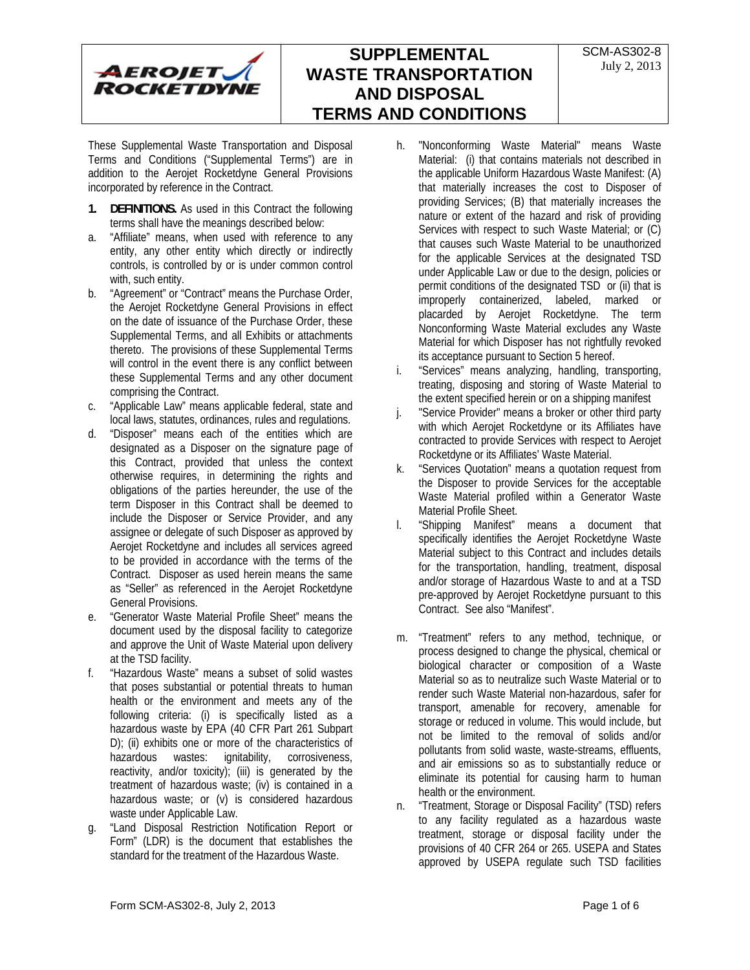

These Supplemental Waste Transportation and Disposal Terms and Conditions ("Supplemental Terms") are in addition to the Aerojet Rocketdyne General Provisions incorporated by reference in the Contract.

- **1. DEFINITIONS.** As used in this Contract the following terms shall have the meanings described below:
- a. "Affiliate" means, when used with reference to any entity, any other entity which directly or indirectly controls, is controlled by or is under common control with, such entity.
- b. "Agreement" or "Contract" means the Purchase Order, the Aerojet Rocketdyne General Provisions in effect on the date of issuance of the Purchase Order, these Supplemental Terms, and all Exhibits or attachments thereto. The provisions of these Supplemental Terms will control in the event there is any conflict between these Supplemental Terms and any other document comprising the Contract.
- c. "Applicable Law" means applicable federal, state and local laws, statutes, ordinances, rules and regulations.
- d. "Disposer" means each of the entities which are designated as a Disposer on the signature page of this Contract, provided that unless the context otherwise requires, in determining the rights and obligations of the parties hereunder, the use of the term Disposer in this Contract shall be deemed to include the Disposer or Service Provider, and any assignee or delegate of such Disposer as approved by Aerojet Rocketdyne and includes all services agreed to be provided in accordance with the terms of the Contract. Disposer as used herein means the same as "Seller" as referenced in the Aerojet Rocketdyne General Provisions.
- e. "Generator Waste Material Profile Sheet" means the document used by the disposal facility to categorize and approve the Unit of Waste Material upon delivery at the TSD facility.
- f. "Hazardous Waste" means a subset of solid wastes that poses substantial or potential threats to human health or the environment and meets any of the following criteria: (i) is specifically listed as a hazardous waste by EPA (40 CFR Part 261 Subpart D); (ii) exhibits one or more of the characteristics of hazardous wastes: ignitability, corrosiveness, reactivity, and/or toxicity); (iii) is generated by the treatment of hazardous waste; (iv) is contained in a hazardous waste; or (v) is considered hazardous waste under Applicable Law.
- g. "Land Disposal Restriction Notification Report or Form" (LDR) is the document that establishes the standard for the treatment of the Hazardous Waste.
- h. "Nonconforming Waste Material" means Waste Material: (i) that contains materials not described in the applicable Uniform Hazardous Waste Manifest: (A) that materially increases the cost to Disposer of providing Services; (B) that materially increases the nature or extent of the hazard and risk of providing Services with respect to such Waste Material; or (C) that causes such Waste Material to be unauthorized for the applicable Services at the designated TSD under Applicable Law or due to the design, policies or permit conditions of the designated TSD or (ii) that is improperly containerized, labeled, marked or placarded by Aerojet Rocketdyne. The term Nonconforming Waste Material excludes any Waste Material for which Disposer has not rightfully revoked its acceptance pursuant to Section 5 hereof.
- i. "Services" means analyzing, handling, transporting, treating, disposing and storing of Waste Material to the extent specified herein or on a shipping manifest
- j. "Service Provider" means a broker or other third party with which Aerojet Rocketdyne or its Affiliates have contracted to provide Services with respect to Aerojet Rocketdyne or its Affiliates' Waste Material.
- k. "Services Quotation" means a quotation request from the Disposer to provide Services for the acceptable Waste Material profiled within a Generator Waste Material Profile Sheet.
- l. "Shipping Manifest" means a document that specifically identifies the Aerojet Rocketdyne Waste Material subject to this Contract and includes details for the transportation, handling, treatment, disposal and/or storage of Hazardous Waste to and at a TSD pre-approved by Aerojet Rocketdyne pursuant to this Contract. See also "Manifest".
- m. "Treatment" refers to any method, technique, or process designed to change the physical, chemical or biological character or composition of a Waste Material so as to neutralize such Waste Material or to render such Waste Material non-hazardous, safer for transport, amenable for recovery, amenable for storage or reduced in volume. This would include, but not be limited to the removal of solids and/or pollutants from solid waste, waste-streams, effluents, and air emissions so as to substantially reduce or eliminate its potential for causing harm to human health or the environment.
- n. "Treatment, Storage or Disposal Facility" (TSD) refers to any facility regulated as a hazardous waste treatment, storage or disposal facility under the provisions of 40 CFR 264 or 265. USEPA and States approved by USEPA regulate such TSD facilities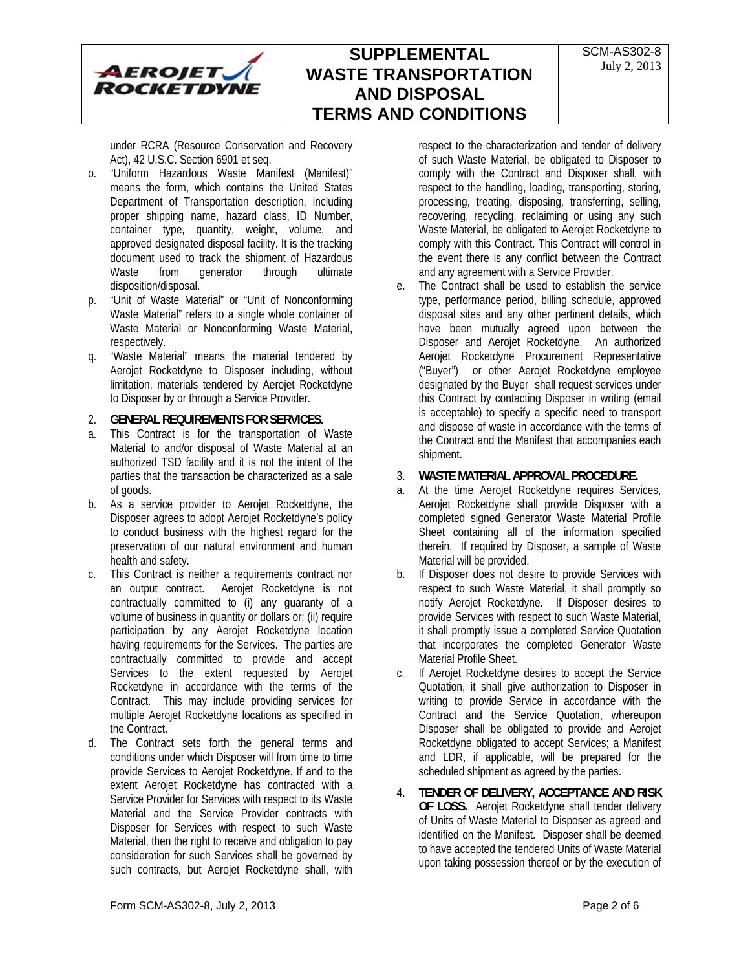

under RCRA (Resource Conservation and Recovery Act), 42 U.S.C. Section 6901 et seq.

- o. "Uniform Hazardous Waste Manifest (Manifest)" means the form, which contains the United States Department of Transportation description, including proper shipping name, hazard class, ID Number, container type, quantity, weight, volume, and approved designated disposal facility. It is the tracking document used to track the shipment of Hazardous Waste from generator through ultimate disposition/disposal.
- p. "Unit of Waste Material" or "Unit of Nonconforming Waste Material" refers to a single whole container of Waste Material or Nonconforming Waste Material, respectively.
- q. "Waste Material" means the material tendered by Aerojet Rocketdyne to Disposer including, without limitation, materials tendered by Aerojet Rocketdyne to Disposer by or through a Service Provider.

#### 2. **GENERAL REQUIREMENTS FOR SERVICES.**

- a. This Contract is for the transportation of Waste Material to and/or disposal of Waste Material at an authorized TSD facility and it is not the intent of the parties that the transaction be characterized as a sale of goods.
- b. As a service provider to Aerojet Rocketdyne, the Disposer agrees to adopt Aerojet Rocketdyne's policy to conduct business with the highest regard for the preservation of our natural environment and human health and safety.
- c. This Contract is neither a requirements contract nor an output contract. Aerojet Rocketdyne is not contractually committed to (i) any guaranty of a volume of business in quantity or dollars or; (ii) require participation by any Aerojet Rocketdyne location having requirements for the Services. The parties are contractually committed to provide and accept Services to the extent requested by Aerojet Rocketdyne in accordance with the terms of the Contract. This may include providing services for multiple Aerojet Rocketdyne locations as specified in the Contract.
- d. The Contract sets forth the general terms and conditions under which Disposer will from time to time provide Services to Aerojet Rocketdyne. If and to the extent Aerojet Rocketdyne has contracted with a Service Provider for Services with respect to its Waste Material and the Service Provider contracts with Disposer for Services with respect to such Waste Material, then the right to receive and obligation to pay consideration for such Services shall be governed by such contracts, but Aerojet Rocketdyne shall, with

respect to the characterization and tender of delivery of such Waste Material, be obligated to Disposer to comply with the Contract and Disposer shall, with respect to the handling, loading, transporting, storing, processing, treating, disposing, transferring, selling, recovering, recycling, reclaiming or using any such Waste Material, be obligated to Aerojet Rocketdyne to comply with this Contract. This Contract will control in the event there is any conflict between the Contract and any agreement with a Service Provider.

e. The Contract shall be used to establish the service type, performance period, billing schedule, approved disposal sites and any other pertinent details, which have been mutually agreed upon between the Disposer and Aerojet Rocketdyne. An authorized Aerojet Rocketdyne Procurement Representative ("Buyer") or other Aerojet Rocketdyne employee designated by the Buyer shall request services under this Contract by contacting Disposer in writing (email is acceptable) to specify a specific need to transport and dispose of waste in accordance with the terms of the Contract and the Manifest that accompanies each shipment.

### 3. **WASTE MATERIAL APPROVAL PROCEDURE.**

- a. At the time Aerojet Rocketdyne requires Services, Aerojet Rocketdyne shall provide Disposer with a completed signed Generator Waste Material Profile Sheet containing all of the information specified therein. If required by Disposer, a sample of Waste Material will be provided.
- b. If Disposer does not desire to provide Services with respect to such Waste Material, it shall promptly so notify Aerojet Rocketdyne. If Disposer desires to provide Services with respect to such Waste Material, it shall promptly issue a completed Service Quotation that incorporates the completed Generator Waste Material Profile Sheet.
- c. If Aerojet Rocketdyne desires to accept the Service Quotation, it shall give authorization to Disposer in writing to provide Service in accordance with the Contract and the Service Quotation, whereupon Disposer shall be obligated to provide and Aerojet Rocketdyne obligated to accept Services; a Manifest and LDR, if applicable, will be prepared for the scheduled shipment as agreed by the parties.
- 4. **TENDER OF DELIVERY, ACCEPTANCE AND RISK OF LOSS.** Aerojet Rocketdyne shall tender delivery of Units of Waste Material to Disposer as agreed and identified on the Manifest. Disposer shall be deemed to have accepted the tendered Units of Waste Material upon taking possession thereof or by the execution of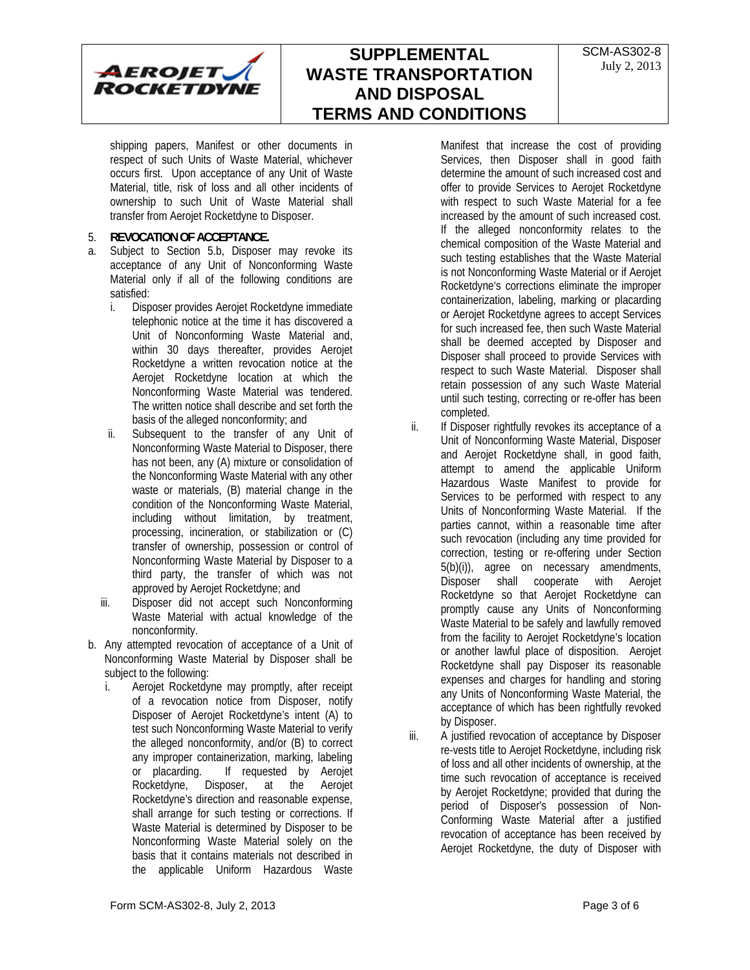shipping papers, Manifest or other documents in respect of such Units of Waste Material, whichever occurs first. Upon acceptance of any Unit of Waste Material, title, risk of loss and all other incidents of ownership to such Unit of Waste Material shall transfer from Aerojet Rocketdyne to Disposer.

#### 5. **REVOCATION OF ACCEPTANCE.**

- a. Subject to Section 5.b, Disposer may revoke its acceptance of any Unit of Nonconforming Waste Material only if all of the following conditions are satisfied:
	- i. Disposer provides Aerojet Rocketdyne immediate telephonic notice at the time it has discovered a Unit of Nonconforming Waste Material and, within 30 days thereafter, provides Aerojet Rocketdyne a written revocation notice at the Aerojet Rocketdyne location at which the Nonconforming Waste Material was tendered. The written notice shall describe and set forth the basis of the alleged nonconformity; and
	- ii. Subsequent to the transfer of any Unit of Nonconforming Waste Material to Disposer, there has not been, any (A) mixture or consolidation of the Nonconforming Waste Material with any other waste or materials, (B) material change in the condition of the Nonconforming Waste Material, including without limitation, by treatment, processing, incineration, or stabilization or (C) transfer of ownership, possession or control of Nonconforming Waste Material by Disposer to a third party, the transfer of which was not approved by Aerojet Rocketdyne; and
	- iii. Disposer did not accept such Nonconforming Waste Material with actual knowledge of the nonconformity.
- b. Any attempted revocation of acceptance of a Unit of Nonconforming Waste Material by Disposer shall be subject to the following:
	- i. Aerojet Rocketdyne may promptly, after receipt of a revocation notice from Disposer, notify Disposer of Aerojet Rocketdyne's intent (A) to test such Nonconforming Waste Material to verify the alleged nonconformity, and/or (B) to correct any improper containerization, marking, labeling or placarding. If requested by Aerojet Rocketdyne, Disposer, at the Aerojet Rocketdyne's direction and reasonable expense, shall arrange for such testing or corrections. If Waste Material is determined by Disposer to be Nonconforming Waste Material solely on the basis that it contains materials not described in the applicable Uniform Hazardous Waste

Manifest that increase the cost of providing Services, then Disposer shall in good faith determine the amount of such increased cost and offer to provide Services to Aerojet Rocketdyne with respect to such Waste Material for a fee increased by the amount of such increased cost. If the alleged nonconformity relates to the chemical composition of the Waste Material and such testing establishes that the Waste Material is not Nonconforming Waste Material or if Aerojet Rocketdyne's corrections eliminate the improper containerization, labeling, marking or placarding or Aerojet Rocketdyne agrees to accept Services for such increased fee, then such Waste Material shall be deemed accepted by Disposer and Disposer shall proceed to provide Services with respect to such Waste Material. Disposer shall retain possession of any such Waste Material until such testing, correcting or re-offer has been completed.

- ii. If Disposer rightfully revokes its acceptance of a Unit of Nonconforming Waste Material, Disposer and Aerojet Rocketdyne shall, in good faith, attempt to amend the applicable Uniform Hazardous Waste Manifest to provide for Services to be performed with respect to any Units of Nonconforming Waste Material. If the parties cannot, within a reasonable time after such revocation (including any time provided for correction, testing or re-offering under Section 5(b)(i)), agree on necessary amendments, Disposer shall cooperate with Aerojet Rocketdyne so that Aerojet Rocketdyne can promptly cause any Units of Nonconforming Waste Material to be safely and lawfully removed from the facility to Aerojet Rocketdyne's location or another lawful place of disposition. Aerojet Rocketdyne shall pay Disposer its reasonable expenses and charges for handling and storing any Units of Nonconforming Waste Material, the acceptance of which has been rightfully revoked by Disposer.
- iii. A justified revocation of acceptance by Disposer re-vests title to Aerojet Rocketdyne, including risk of loss and all other incidents of ownership, at the time such revocation of acceptance is received by Aerojet Rocketdyne; provided that during the period of Disposer's possession of Non-Conforming Waste Material after a justified revocation of acceptance has been received by Aerojet Rocketdyne, the duty of Disposer with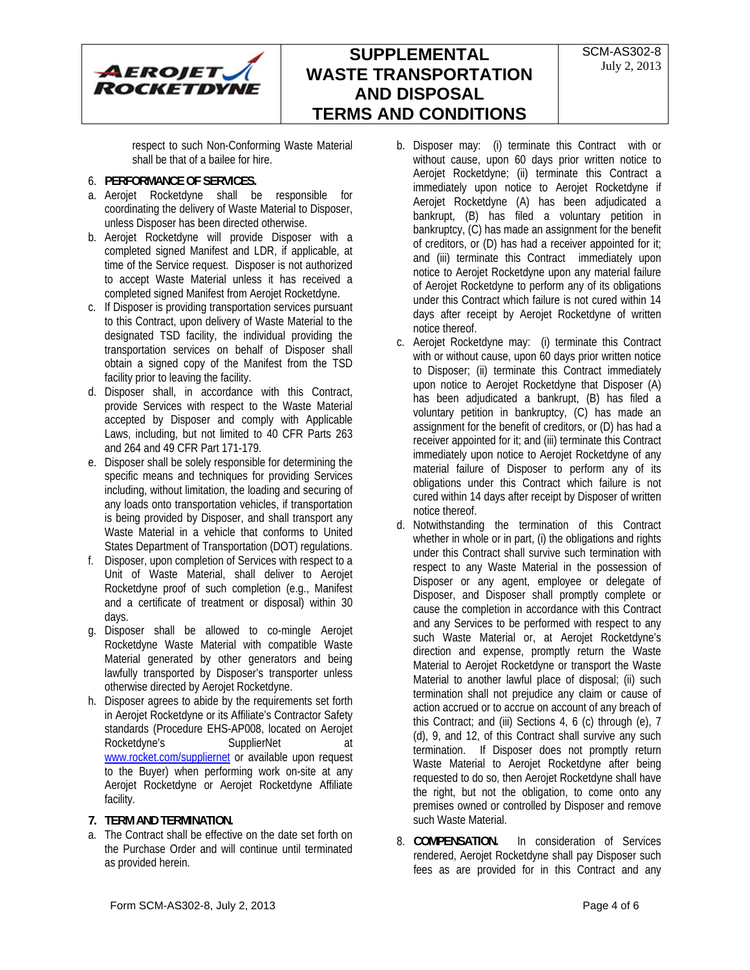

respect to such Non-Conforming Waste Material shall be that of a bailee for hire.

### 6. **PERFORMANCE OF SERVICES.**

- a. Aerojet Rocketdyne shall be responsible for coordinating the delivery of Waste Material to Disposer, unless Disposer has been directed otherwise.
- b. Aerojet Rocketdyne will provide Disposer with a completed signed Manifest and LDR, if applicable, at time of the Service request. Disposer is not authorized to accept Waste Material unless it has received a completed signed Manifest from Aerojet Rocketdyne.
- c. If Disposer is providing transportation services pursuant to this Contract, upon delivery of Waste Material to the designated TSD facility, the individual providing the transportation services on behalf of Disposer shall obtain a signed copy of the Manifest from the TSD facility prior to leaving the facility.
- d. Disposer shall, in accordance with this Contract, provide Services with respect to the Waste Material accepted by Disposer and comply with Applicable Laws, including, but not limited to 40 CFR Parts 263 and 264 and 49 CFR Part 171-179.
- e. Disposer shall be solely responsible for determining the specific means and techniques for providing Services including, without limitation, the loading and securing of any loads onto transportation vehicles, if transportation is being provided by Disposer, and shall transport any Waste Material in a vehicle that conforms to United States Department of Transportation (DOT) regulations.
- f. Disposer, upon completion of Services with respect to a Unit of Waste Material, shall deliver to Aerojet Rocketdyne proof of such completion (e.g., Manifest and a certificate of treatment or disposal) within 30 days.
- g. Disposer shall be allowed to co-mingle Aerojet Rocketdyne Waste Material with compatible Waste Material generated by other generators and being lawfully transported by Disposer's transporter unless otherwise directed by Aerojet Rocketdyne.
- h. Disposer agrees to abide by the requirements set forth in Aerojet Rocketdyne or its Affiliate's Contractor Safety standards (Procedure EHS-AP008, located on Aerojet Rocketdyne's SupplierNet www.rocket.com/suppliernet or available upon request to the Buyer) when performing work on-site at any Aerojet Rocketdyne or Aerojet Rocketdyne Affiliate facility.

### **7. TERM AND TERMINATION.**

a. The Contract shall be effective on the date set forth on the Purchase Order and will continue until terminated as provided herein.

- b. Disposer may: (i) terminate this Contract with or without cause, upon 60 days prior written notice to Aerojet Rocketdyne; (ii) terminate this Contract a immediately upon notice to Aerojet Rocketdyne if Aerojet Rocketdyne (A) has been adjudicated a bankrupt, (B) has filed a voluntary petition in bankruptcy, (C) has made an assignment for the benefit of creditors, or (D) has had a receiver appointed for it; and (iii) terminate this Contract immediately upon notice to Aerojet Rocketdyne upon any material failure of Aerojet Rocketdyne to perform any of its obligations under this Contract which failure is not cured within 14 days after receipt by Aerojet Rocketdyne of written notice thereof.
- c. Aerojet Rocketdyne may: (i) terminate this Contract with or without cause, upon 60 days prior written notice to Disposer; (ii) terminate this Contract immediately upon notice to Aerojet Rocketdyne that Disposer (A) has been adjudicated a bankrupt, (B) has filed a voluntary petition in bankruptcy, (C) has made an assignment for the benefit of creditors, or (D) has had a receiver appointed for it; and (iii) terminate this Contract immediately upon notice to Aerojet Rocketdyne of any material failure of Disposer to perform any of its obligations under this Contract which failure is not cured within 14 days after receipt by Disposer of written notice thereof.
- d. Notwithstanding the termination of this Contract whether in whole or in part, (i) the obligations and rights under this Contract shall survive such termination with respect to any Waste Material in the possession of Disposer or any agent, employee or delegate of Disposer, and Disposer shall promptly complete or cause the completion in accordance with this Contract and any Services to be performed with respect to any such Waste Material or, at Aerojet Rocketdyne's direction and expense, promptly return the Waste Material to Aerojet Rocketdyne or transport the Waste Material to another lawful place of disposal; (ii) such termination shall not prejudice any claim or cause of action accrued or to accrue on account of any breach of this Contract; and (iii) Sections 4, 6 (c) through (e), 7 (d), 9, and 12, of this Contract shall survive any such termination. If Disposer does not promptly return Waste Material to Aerojet Rocketdyne after being requested to do so, then Aerojet Rocketdyne shall have the right, but not the obligation, to come onto any premises owned or controlled by Disposer and remove such Waste Material.
- 8. **COMPENSATION.** In consideration of Services rendered, Aerojet Rocketdyne shall pay Disposer such fees as are provided for in this Contract and any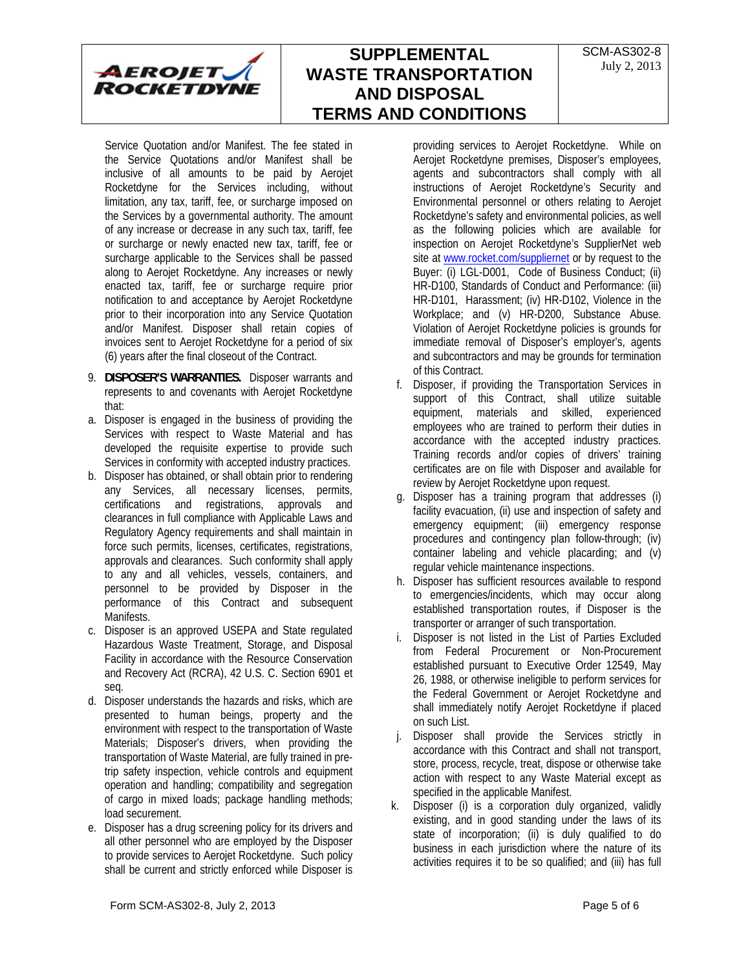

Service Quotation and/or Manifest. The fee stated in the Service Quotations and/or Manifest shall be inclusive of all amounts to be paid by Aerojet Rocketdyne for the Services including, without limitation, any tax, tariff, fee, or surcharge imposed on the Services by a governmental authority. The amount of any increase or decrease in any such tax, tariff, fee or surcharge or newly enacted new tax, tariff, fee or surcharge applicable to the Services shall be passed along to Aerojet Rocketdyne. Any increases or newly enacted tax, tariff, fee or surcharge require prior notification to and acceptance by Aerojet Rocketdyne prior to their incorporation into any Service Quotation and/or Manifest. Disposer shall retain copies of invoices sent to Aerojet Rocketdyne for a period of six (6) years after the final closeout of the Contract.

- 9. **DISPOSER'S WARRANTIES.** Disposer warrants and represents to and covenants with Aerojet Rocketdyne that:
- a. Disposer is engaged in the business of providing the Services with respect to Waste Material and has developed the requisite expertise to provide such Services in conformity with accepted industry practices.
- b. Disposer has obtained, or shall obtain prior to rendering any Services, all necessary licenses, permits, certifications and registrations, approvals and clearances in full compliance with Applicable Laws and Regulatory Agency requirements and shall maintain in force such permits, licenses, certificates, registrations, approvals and clearances. Such conformity shall apply to any and all vehicles, vessels, containers, and personnel to be provided by Disposer in the performance of this Contract and subsequent Manifests.
- c. Disposer is an approved USEPA and State regulated Hazardous Waste Treatment, Storage, and Disposal Facility in accordance with the Resource Conservation and Recovery Act (RCRA), 42 U.S. C. Section 6901 et seq.
- d. Disposer understands the hazards and risks, which are presented to human beings, property and the environment with respect to the transportation of Waste Materials; Disposer's drivers, when providing the transportation of Waste Material, are fully trained in pretrip safety inspection, vehicle controls and equipment operation and handling; compatibility and segregation of cargo in mixed loads; package handling methods; load securement.
- e. Disposer has a drug screening policy for its drivers and all other personnel who are employed by the Disposer to provide services to Aerojet Rocketdyne. Such policy shall be current and strictly enforced while Disposer is

providing services to Aerojet Rocketdyne. While on Aerojet Rocketdyne premises, Disposer's employees, agents and subcontractors shall comply with all instructions of Aerojet Rocketdyne's Security and Environmental personnel or others relating to Aerojet Rocketdyne's safety and environmental policies, as well as the following policies which are available for inspection on Aerojet Rocketdyne's SupplierNet web site at www.rocket.com/suppliernet or by request to the Buyer: (i) LGL-D001, Code of Business Conduct; (ii) HR-D100, Standards of Conduct and Performance: (iii) HR-D101, Harassment; (iv) HR-D102, Violence in the Workplace; and (v) HR-D200, Substance Abuse. Violation of Aerojet Rocketdyne policies is grounds for immediate removal of Disposer's employer's, agents and subcontractors and may be grounds for termination of this Contract.

- f. Disposer, if providing the Transportation Services in support of this Contract, shall utilize suitable equipment, materials and skilled, experienced employees who are trained to perform their duties in accordance with the accepted industry practices. Training records and/or copies of drivers' training certificates are on file with Disposer and available for review by Aerojet Rocketdyne upon request.
- g. Disposer has a training program that addresses (i) facility evacuation, (ii) use and inspection of safety and emergency equipment; (iii) emergency response procedures and contingency plan follow-through; (iv) container labeling and vehicle placarding; and (v) regular vehicle maintenance inspections.
- h. Disposer has sufficient resources available to respond to emergencies/incidents, which may occur along established transportation routes, if Disposer is the transporter or arranger of such transportation.
- i. Disposer is not listed in the List of Parties Excluded from Federal Procurement or Non-Procurement established pursuant to Executive Order 12549, May 26, 1988, or otherwise ineligible to perform services for the Federal Government or Aerojet Rocketdyne and shall immediately notify Aerojet Rocketdyne if placed on such List.
- j. Disposer shall provide the Services strictly in accordance with this Contract and shall not transport, store, process, recycle, treat, dispose or otherwise take action with respect to any Waste Material except as specified in the applicable Manifest.
- k. Disposer (i) is a corporation duly organized, validly existing, and in good standing under the laws of its state of incorporation; (ii) is duly qualified to do business in each jurisdiction where the nature of its activities requires it to be so qualified; and (iii) has full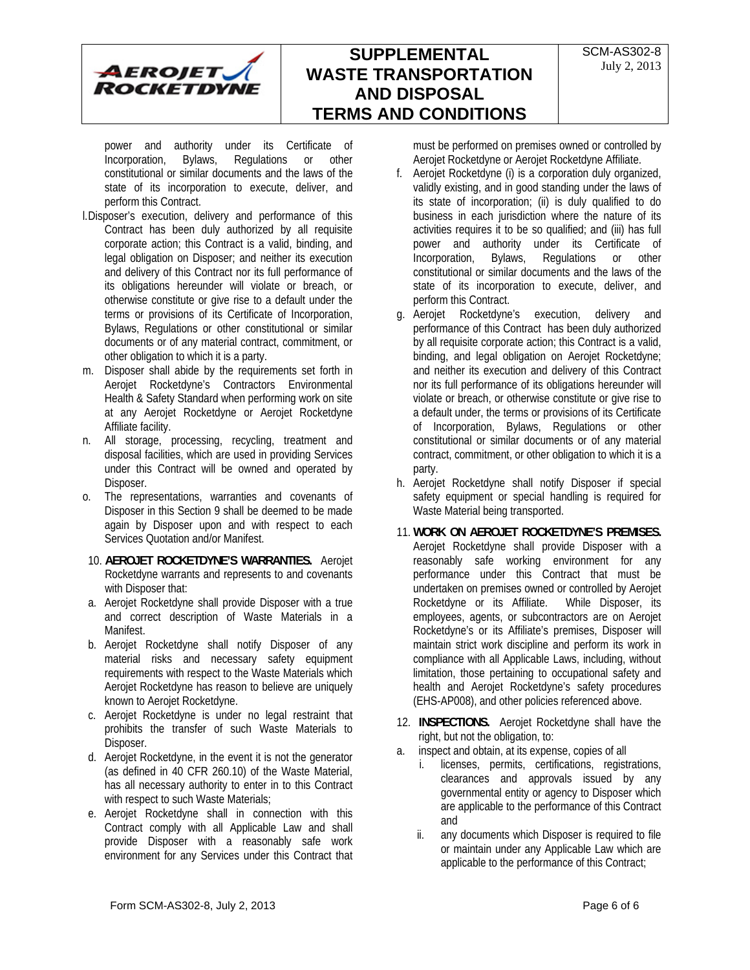

power and authority under its Certificate of Incorporation, Bylaws, Regulations or other constitutional or similar documents and the laws of the state of its incorporation to execute, deliver, and perform this Contract.

- l.Disposer's execution, delivery and performance of this Contract has been duly authorized by all requisite corporate action; this Contract is a valid, binding, and legal obligation on Disposer; and neither its execution and delivery of this Contract nor its full performance of its obligations hereunder will violate or breach, or otherwise constitute or give rise to a default under the terms or provisions of its Certificate of Incorporation, Bylaws, Regulations or other constitutional or similar documents or of any material contract, commitment, or other obligation to which it is a party.
- m. Disposer shall abide by the requirements set forth in Aerojet Rocketdyne's Contractors Environmental Health & Safety Standard when performing work on site at any Aerojet Rocketdyne or Aerojet Rocketdyne Affiliate facility.
- n. All storage, processing, recycling, treatment and disposal facilities, which are used in providing Services under this Contract will be owned and operated by Disposer.
- o. The representations, warranties and covenants of Disposer in this Section 9 shall be deemed to be made again by Disposer upon and with respect to each Services Quotation and/or Manifest.
- 10. **AEROJET ROCKETDYNE'S WARRANTIES.** Aerojet Rocketdyne warrants and represents to and covenants with Disposer that:
- a. Aerojet Rocketdyne shall provide Disposer with a true and correct description of Waste Materials in a Manifest.
- b. Aerojet Rocketdyne shall notify Disposer of any material risks and necessary safety equipment requirements with respect to the Waste Materials which Aerojet Rocketdyne has reason to believe are uniquely known to Aerojet Rocketdyne.
- c. Aerojet Rocketdyne is under no legal restraint that prohibits the transfer of such Waste Materials to Disposer.
- d. Aerojet Rocketdyne, in the event it is not the generator (as defined in 40 CFR 260.10) of the Waste Material, has all necessary authority to enter in to this Contract with respect to such Waste Materials;
- e. Aerojet Rocketdyne shall in connection with this Contract comply with all Applicable Law and shall provide Disposer with a reasonably safe work environment for any Services under this Contract that

must be performed on premises owned or controlled by Aerojet Rocketdyne or Aerojet Rocketdyne Affiliate.

- f. Aerojet Rocketdyne (i) is a corporation duly organized, validly existing, and in good standing under the laws of its state of incorporation; (ii) is duly qualified to do business in each jurisdiction where the nature of its activities requires it to be so qualified; and (iii) has full power and authority under its Certificate of Incorporation, Bylaws, Regulations or other constitutional or similar documents and the laws of the state of its incorporation to execute, deliver, and perform this Contract.
- g. Aerojet Rocketdyne's execution, delivery and performance of this Contract has been duly authorized by all requisite corporate action; this Contract is a valid, binding, and legal obligation on Aerojet Rocketdyne; and neither its execution and delivery of this Contract nor its full performance of its obligations hereunder will violate or breach, or otherwise constitute or give rise to a default under, the terms or provisions of its Certificate of Incorporation, Bylaws, Regulations or other constitutional or similar documents or of any material contract, commitment, or other obligation to which it is a party.
- h. Aerojet Rocketdyne shall notify Disposer if special safety equipment or special handling is required for Waste Material being transported.
- 11. **WORK ON AEROJET ROCKETDYNE'S PREMISES.**  Aerojet Rocketdyne shall provide Disposer with a reasonably safe working environment for any performance under this Contract that must be undertaken on premises owned or controlled by Aerojet<br>Rocketdyne or its Affiliate. While Disposer, its Rocketdyne or its Affiliate. employees, agents, or subcontractors are on Aerojet Rocketdyne's or its Affiliate's premises, Disposer will maintain strict work discipline and perform its work in compliance with all Applicable Laws, including, without limitation, those pertaining to occupational safety and health and Aerojet Rocketdyne's safety procedures (EHS-AP008), and other policies referenced above.
- 12. **INSPECTIONS.** Aerojet Rocketdyne shall have the right, but not the obligation, to:
- a. inspect and obtain, at its expense, copies of all
	- i. licenses, permits, certifications, registrations, clearances and approvals issued by any governmental entity or agency to Disposer which are applicable to the performance of this Contract and
	- ii. any documents which Disposer is required to file or maintain under any Applicable Law which are applicable to the performance of this Contract;